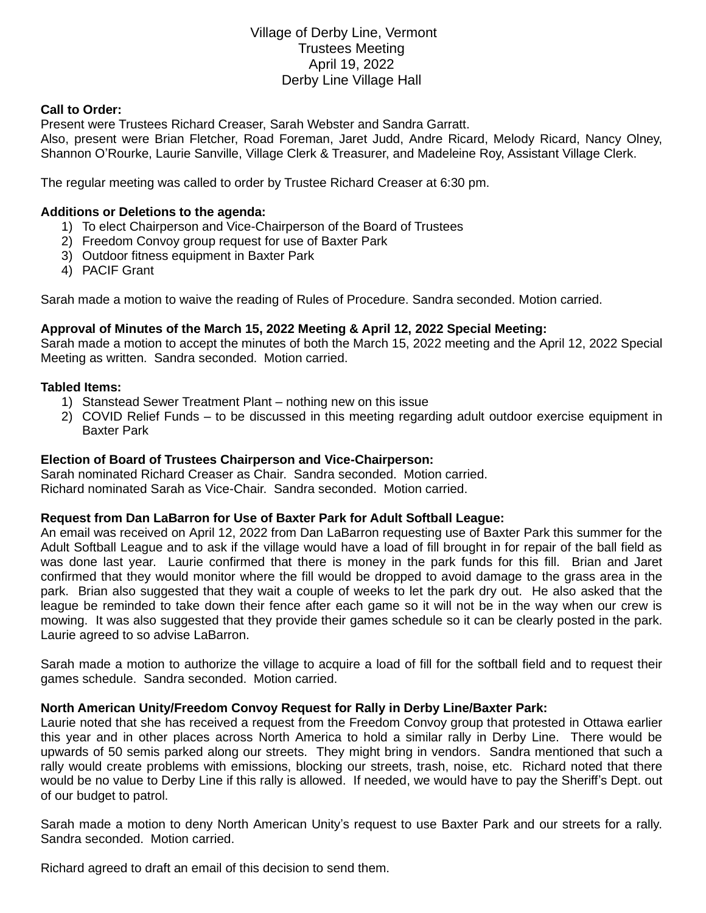# Village of Derby Line, Vermont Trustees Meeting April 19, 2022 Derby Line Village Hall

#### **Call to Order:**

Present were Trustees Richard Creaser, Sarah Webster and Sandra Garratt.

Also, present were Brian Fletcher, Road Foreman, Jaret Judd, Andre Ricard, Melody Ricard, Nancy Olney, Shannon O'Rourke, Laurie Sanville, Village Clerk & Treasurer, and Madeleine Roy, Assistant Village Clerk.

The regular meeting was called to order by Trustee Richard Creaser at 6:30 pm.

### **Additions or Deletions to the agenda:**

- 1) To elect Chairperson and Vice-Chairperson of the Board of Trustees
- 2) Freedom Convoy group request for use of Baxter Park
- 3) Outdoor fitness equipment in Baxter Park
- 4) PACIF Grant

Sarah made a motion to waive the reading of Rules of Procedure. Sandra seconded. Motion carried.

#### **Approval of Minutes of the March 15, 2022 Meeting & April 12, 2022 Special Meeting:**

Sarah made a motion to accept the minutes of both the March 15, 2022 meeting and the April 12, 2022 Special Meeting as written. Sandra seconded. Motion carried.

#### **Tabled Items:**

- 1) Stanstead Sewer Treatment Plant nothing new on this issue
- 2) COVID Relief Funds to be discussed in this meeting regarding adult outdoor exercise equipment in Baxter Park

### **Election of Board of Trustees Chairperson and Vice-Chairperson:**

Sarah nominated Richard Creaser as Chair. Sandra seconded. Motion carried. Richard nominated Sarah as Vice-Chair. Sandra seconded. Motion carried.

#### **Request from Dan LaBarron for Use of Baxter Park for Adult Softball League:**

An email was received on April 12, 2022 from Dan LaBarron requesting use of Baxter Park this summer for the Adult Softball League and to ask if the village would have a load of fill brought in for repair of the ball field as was done last year. Laurie confirmed that there is money in the park funds for this fill. Brian and Jaret confirmed that they would monitor where the fill would be dropped to avoid damage to the grass area in the park. Brian also suggested that they wait a couple of weeks to let the park dry out. He also asked that the league be reminded to take down their fence after each game so it will not be in the way when our crew is mowing. It was also suggested that they provide their games schedule so it can be clearly posted in the park. Laurie agreed to so advise LaBarron.

Sarah made a motion to authorize the village to acquire a load of fill for the softball field and to request their games schedule. Sandra seconded. Motion carried.

## **North American Unity/Freedom Convoy Request for Rally in Derby Line/Baxter Park:**

Laurie noted that she has received a request from the Freedom Convoy group that protested in Ottawa earlier this year and in other places across North America to hold a similar rally in Derby Line. There would be upwards of 50 semis parked along our streets. They might bring in vendors. Sandra mentioned that such a rally would create problems with emissions, blocking our streets, trash, noise, etc. Richard noted that there would be no value to Derby Line if this rally is allowed. If needed, we would have to pay the Sheriff's Dept. out of our budget to patrol.

Sarah made a motion to deny North American Unity's request to use Baxter Park and our streets for a rally. Sandra seconded. Motion carried.

Richard agreed to draft an email of this decision to send them.